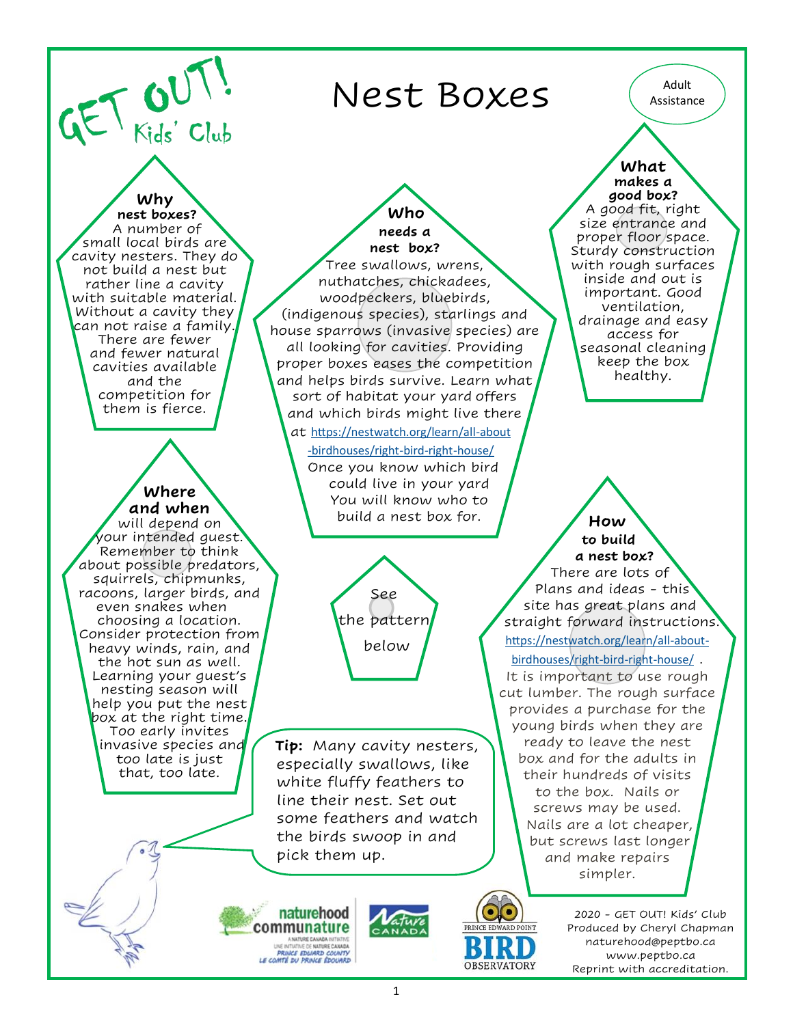$GET$   $GUT$ 

## Nest Boxes (Adult Adult

 small local birds are **Why nest boxes?**  A number of cavity nesters. They do not build a nest but rather line a cavity with suitable material. Without a cavity they can not raise a family. There are fewer and fewer natural cavities available and the competition for them is fierce.

## **Where and when**

will depend on your intended guest. Remember to think about possible predators, squirrels, chipmunks, racoons, larger birds, and even snakes when choosing a location. Consider protection from heavy winds, rain, and the hot sun as well. Learning your guest's nesting season will help you put the nest box at the right time. Too early invites invasive species and too late is just that, too late.

 **Who needs a nest box?** Tree swallows, wrens, nuthatches, chickadees, woodpeckers, bluebirds, (indigenous species), starlings and house sparrows (invasive species) are all looking for cavities. Providing proper boxes eases the competition and helps birds survive. Learn what sort of habitat your yard offers and which birds might live there at [https://nestwatch.org/learn/all](https://nestwatch.org/learn/all-about-birdhouses/right-bird-right-house/)-about

-[birdhouses/right](https://nestwatch.org/learn/all-about-birdhouses/right-bird-right-house/)-bird-right-house/ Once you know which bird could live in your yard You will know who to build a nest box for.



**Tip:** Many cavity nesters, especially swallows, like white fluffy feathers to line their nest. Set out some feathers and watch the birds swoop in and pick them up.

naturehood communature ANATURE CANADA INTIATIVE<br>UNE INTIATIVE CE NATURE CANADA<br>PRINCE EDWARD COUNTY<br>LE COMTÉ DU PRINCE ÉDOUARD



OBSERVATORY

**What makes a good box?** A good fit, right size entrance and proper floor space. Sturdy construction with rough surfaces inside and out is important. Good ventilation, drainage and easy access for seasonal cleaning keep the box healthy.

 **How to build a nest box?** There are lots of Plans and ideas - this site has great plans and straight forward instructions. [https://nestwatch.org/learn/all](https://nestwatch.org/learn/all-about-birdhouses/right-bird-right-house/)-about[birdhouses/right](https://nestwatch.org/learn/all-about-birdhouses/right-bird-right-house/)-bird-right-house/ . It is important to use rough cut lumber. The rough surface provides a purchase for the young birds when they are ready to leave the nest box and for the adults in their hundreds of visits to the box. Nails or screws may be used. Nails are a lot cheaper, but screws last longer and make repairs simpler.

> 2020 - GET OUT! Kids' Club Produced by Cheryl Chapman naturehood@peptbo.ca www.peptbo.ca Reprint with accreditation.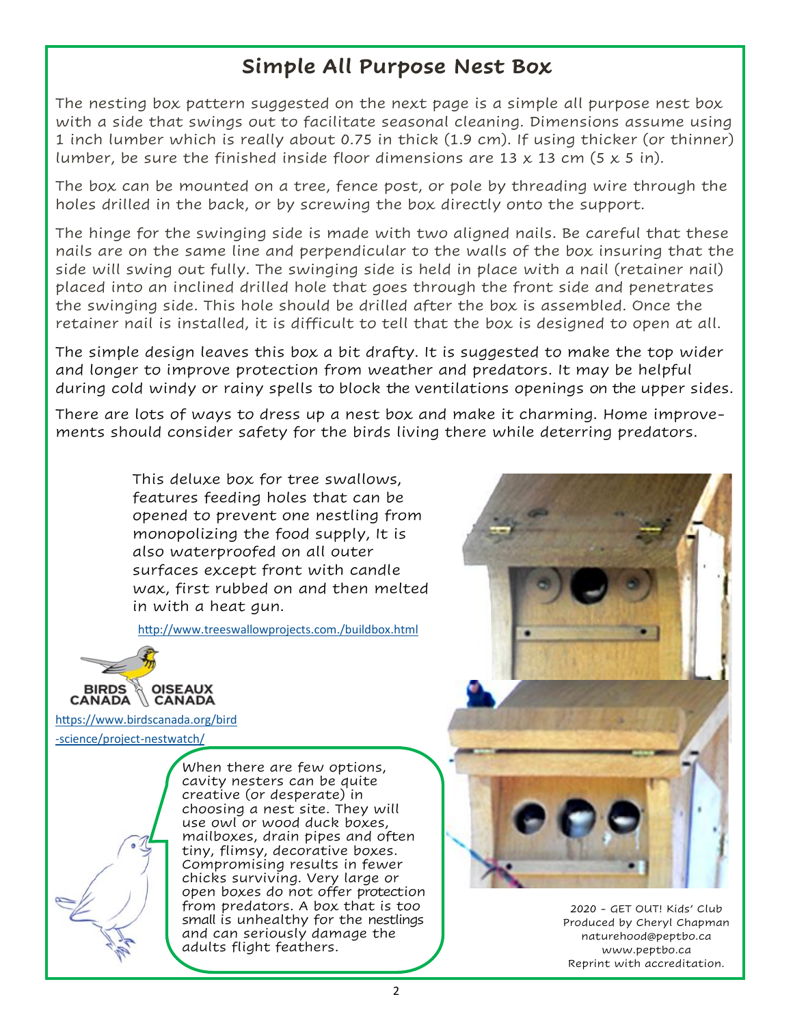## **Simple All Purpose Nest Box**

The nesting box pattern suggested on the next page is a simple all purpose nest box with a side that swings out to facilitate seasonal cleaning. Dimensions assume using 1 inch lumber which is really about 0.75 in thick (1.9 cm). If using thicker (or thinner) lumber, be sure the finished inside floor dimensions are 13  $\times$  13 cm (5  $\times$  5 in).

The box can be mounted on a tree, fence post, or pole by threading wire through the holes drilled in the back, or by screwing the box directly onto the support.

The hinge for the swinging side is made with two aligned nails. Be careful that these nails are on the same line and perpendicular to the walls of the box insuring that the side will swing out fully. The swinging side is held in place with a nail (retainer nail) placed into an inclined drilled hole that goes through the front side and penetrates the swinging side. This hole should be drilled after the box is assembled. Once the retainer nail is installed, it is difficult to tell that the box is designed to open at all.

The simple design leaves this box a bit drafty. It is suggested to make the top wider and longer to improve protection from weather and predators. It may be helpful during cold windy or rainy spells to block the ventilations openings on the upper sides.

There are lots of ways to dress up a nest box and make it charming. Home improvements should consider safety for the birds living there while deterring predators.

> This deluxe box for tree swallows, features feeding holes that can be opened to prevent one nestling from monopolizing the food supply, It is also waterproofed on all outer surfaces except front with candle wax, first rubbed on and then melted in with a heat gun.

<http://www.treeswallowprojects.com./buildbox.html>



[https://www.birdscanada.org/bird](https://www.birdscanada.org/bird-science/project-nestwatch/)

-[science/project](https://www.birdscanada.org/bird-science/project-nestwatch/)-nestwatch/

When there are few options, cavity nesters can be quite creative (or desperate) in choosing a nest site. They will use owl or wood duck boxes, mailboxes, drain pipes and often tiny, flimsy, decorative boxes. Compromising results in fewer chicks surviving. Very large or open boxes do not offer protection from predators. A box that is too small is unhealthy for the nestlings and can seriously damage the adults flight feathers.



2020 - GET OUT! Kids' Club Produced by Cheryl Chapman naturehood@peptbo.ca www.peptbo.ca Reprint with accreditation.